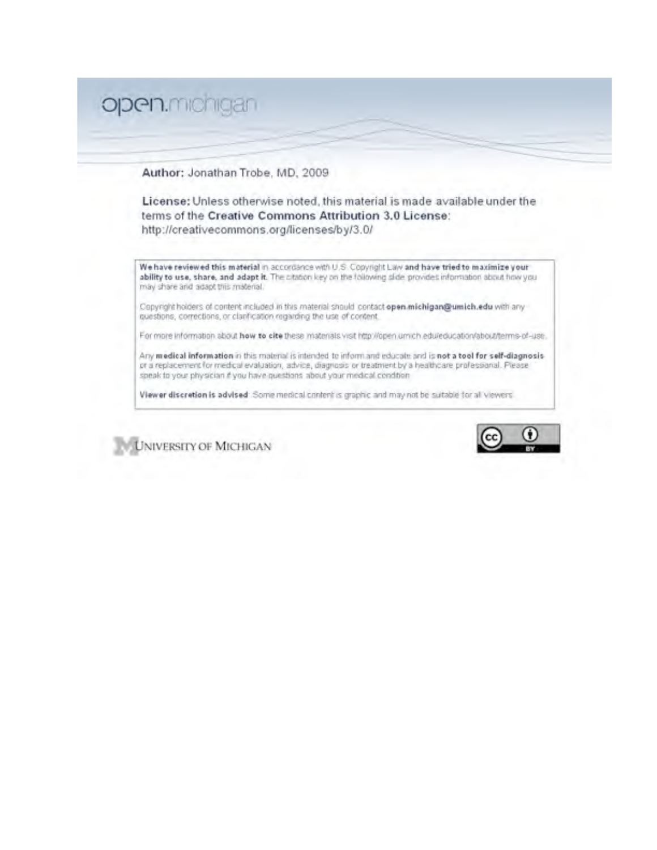# open.michigan

Author: Jonathan Trobe, MD, 2009

License: Unless otherwise noted, this material is made available under the terms of the Creative Commons Attribution 3.0 License: http://creativecommons.org/licenses/by/3.0/

We have reviewed this material in accordance with U.S. Copyright Law and have tried to maximize your ability to use, share, and adapt it. The citation key on the following slide provides information about how you may share and adapt this material.

Copyright holders of content included in this material should contact open michigan@umich.edu with any questions, corrections, or clarification regarding the use of content.

For more information about how to cite these materials visit http://open.umich.edu/education/about/terms-of-use...

Any medical information in this material is intended to informand educate and is not a tool for self-diagnosisor a replacement for medical evaluation, advice, diagnosis or treatment by a healthcare professional. Please speak to your physician if you have questions about your medical condition

Viewer discretion is advised. Some medical content is graphic and may not be suitable for all viewers.

**UNIVERSITY OF MICHIGAN** 

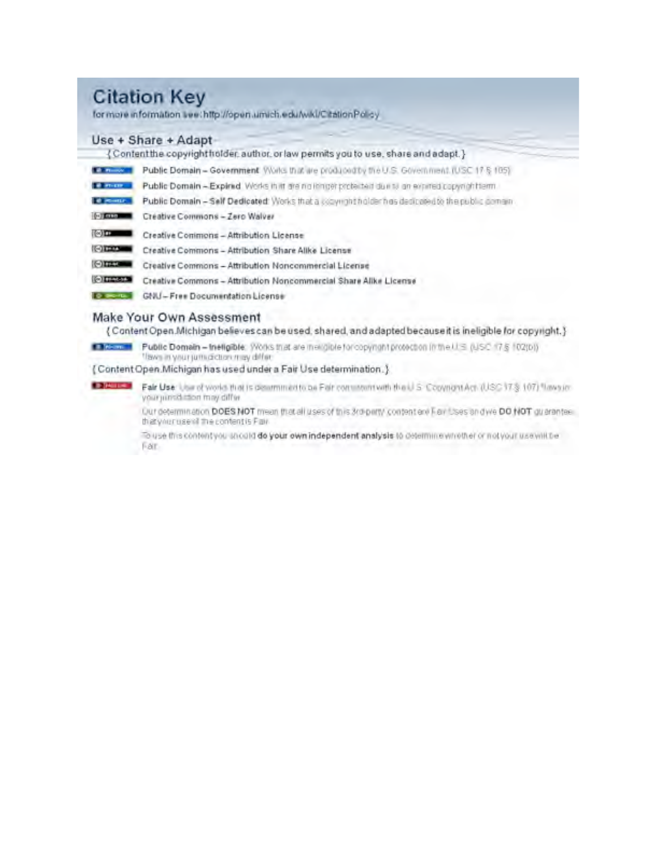# **Citation Key**

for more information see: http://open.umich.edu/wkl/CitationPolicy

#### Use + Share + Adapt-

{Content the copyright find der, author, or law permits you to use, share and adapt.}

| <b>Call Phone Co.</b>                     | Public Domain - Government Works that are produced by the U.S. Government (USC 17 § 105)          |  |
|-------------------------------------------|---------------------------------------------------------------------------------------------------|--|
| <b>Contact of the Contact of the Con-</b> | Public Domain - Expirad Works in it are no innot protected due to an expired copyrightterm.       |  |
| of powers.                                | Public Domain - Self Dedicated: Works that a copyright holder has dedicated to the public comain- |  |
| (47.000)                                  | Creative Commons - Zero Walver                                                                    |  |
| 10 m                                      | Creative Commons - Attribution License                                                            |  |
| <b>Citation</b>                           | Creative Commons - Attribution Share Alike License                                                |  |
| <b>Citizen</b>                            | Creative Commons - Attribution Noncommercial License                                              |  |
| <b>Citizinal</b>                          | Creative Commons - Attribution Noncommercial Share Alike License                                  |  |
| <b>O BROTTE</b>                           | GNU-Free Documentation License                                                                    |  |
|                                           |                                                                                                   |  |

#### Make Your Own Assessment

{ Content Open Michigan believes can be used, shared, and adapted because it is ineligible for copyright.}

Financial Public Domain - Ineligible: Works triat are mengible for copyright protection in the U.S.C. 17 § 102(b)) flave in your jum diction may differ-

{Content Open.Michigan has used under a Fair Use determination.}

Fair Use: Use of world that is determined to be Fair continuous the U.S. Copyright Act. (USC 17.8 107) flavouryour jurisdiction may differ

> Our determination DOES NOT mean that all uses of this 3rd party content and Fair Uses and we DO NOT guarantee. that your use of the content is Fair-

To use this content you unculd do your own independent analysis to determine whether or not your use with be Far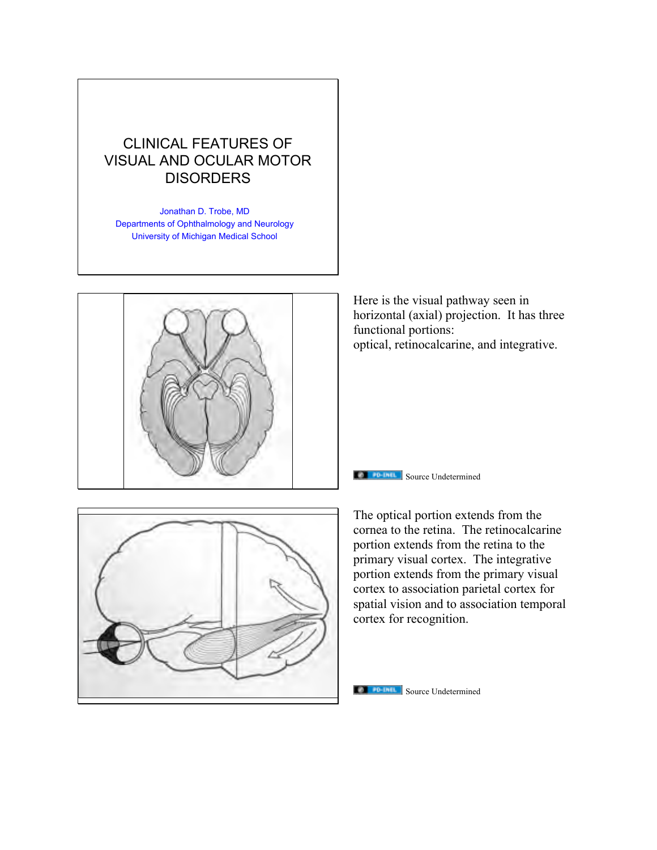# CLINICAL FEATURES OF VISUAL AND OCULAR MOTOR **DISORDERS**

Jonathan D. Trobe, MD Departments of Ophthalmology and Neurology University of Michigan Medical School



Here is the visual pathway seen in horizontal (axial) projection. It has three functional portions: optical, retinocalcarine, and integrative.



The optical portion extends from the

**Source Undetermined** 

cornea to the retina. The retinocalcarine portion extends from the retina to the primary visual cortex. The integrative portion extends from the primary visual cortex to association parietal cortex for spatial vision and to association temporal cortex for recognition.

#### **Source Undetermined**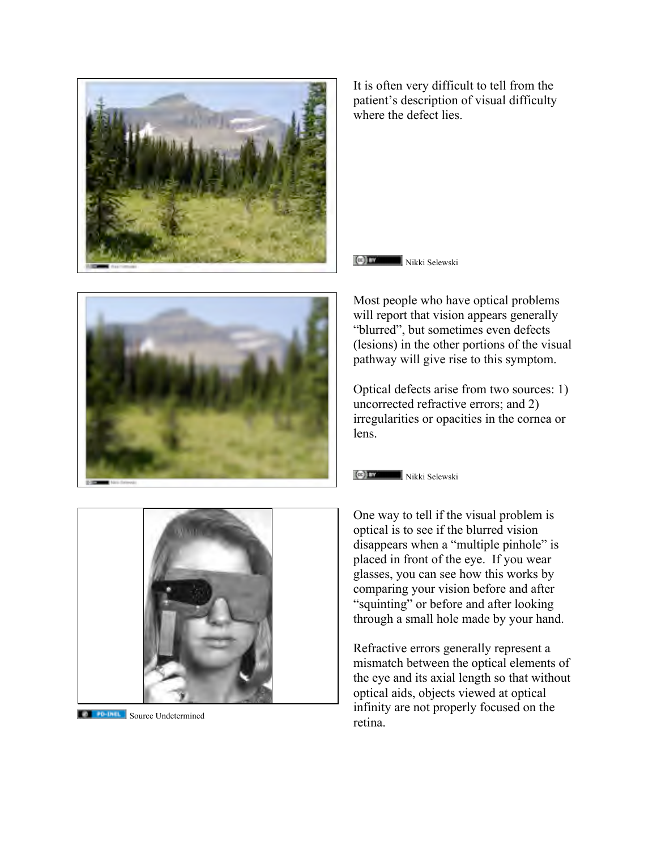

Most people who have optical problems will report that vision appears generally "blurred", but sometimes even defects (lesions) in the other portions of the visual pathway will give rise to this symptom.

Optical defects arise from two sources: 1) uncorrected refractive errors; and 2) irregularities or opacities in the cornea or

Nikki Selewski



**Source Undetermined** 

One way to tell if the visual problem is optical is to see if the blurred vision disappears when a "multiple pinhole" is placed in front of the eye. If you wear glasses, you can see how this works by comparing your vision before and after "squinting" or before and after looking through a small hole made by your hand.

Refractive errors generally represent a mismatch between the optical elements of the eye and its axial length so that without optical aids, objects viewed at optical infinity are not properly focused on the retina.

where the defect lies.

It is often very difficult to tell from the patient's description of visual difficulty





lens.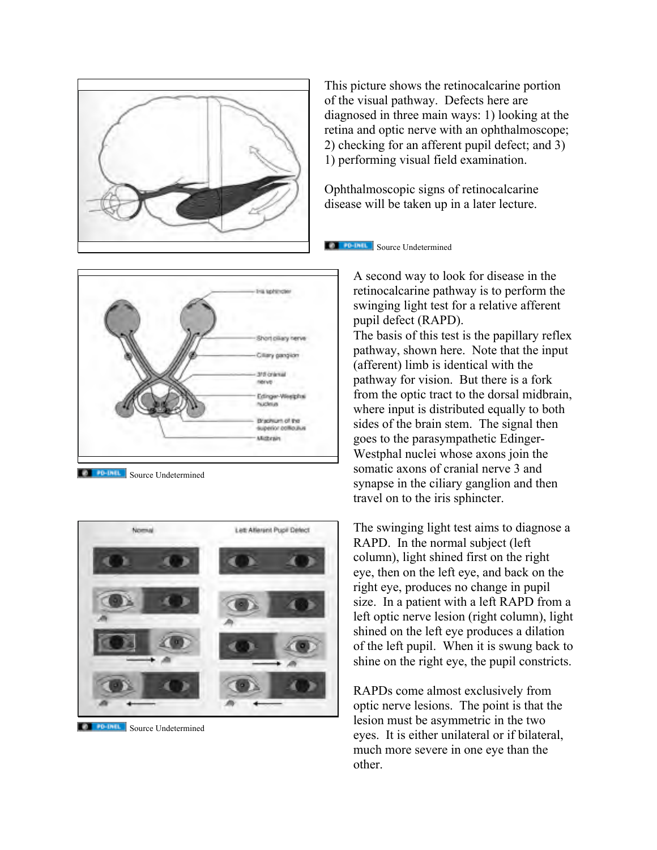



**Source Undetermined** 



**TA FD-INIL** Source Undetermined

This picture shows the retinocalcarine portion of the visual pathway. Defects here are diagnosed in three main ways: 1) looking at the retina and optic nerve with an ophthalmoscope; 2) checking for an afferent pupil defect; and 3) 1) performing visual field examination.

Ophthalmoscopic signs of retinocalcarine disease will be taken up in a later lecture.

**Source Undetermined** 

A second way to look for disease in the retinocalcarine pathway is to perform the swinging light test for a relative afferent pupil defect (RAPD). The basis of this test is the papillary reflex pathway, shown here. Note that the input (afferent) limb is identical with the pathway for vision. But there is a fork from the optic tract to the dorsal midbrain, where input is distributed equally to both sides of the brain stem. The signal then goes to the parasympathetic Edinger-Westphal nuclei whose axons join the somatic axons of cranial nerve 3 and synapse in the ciliary ganglion and then travel on to the iris sphincter.

The swinging light test aims to diagnose a RAPD. In the normal subject (left column), light shined first on the right eye, then on the left eye, and back on the right eye, produces no change in pupil size. In a patient with a left RAPD from a left optic nerve lesion (right column), light shined on the left eye produces a dilation of the left pupil. When it is swung back to shine on the right eye, the pupil constricts.

RAPDs come almost exclusively from optic nerve lesions. The point is that the lesion must be asymmetric in the two eyes. It is either unilateral or if bilateral, much more severe in one eye than the other.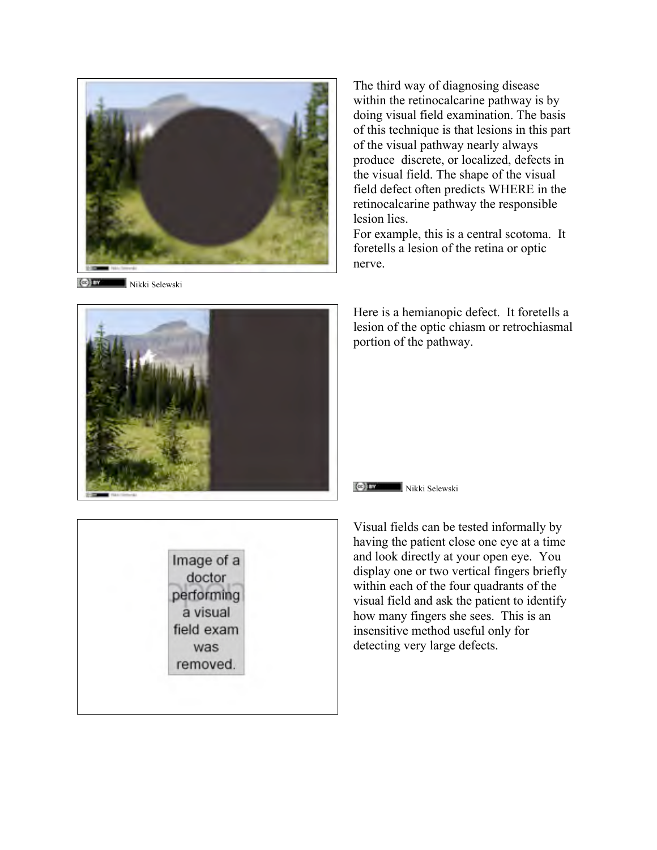

Nikki Selewski **Kolling** 

The third way of diagnosing disease within the retinocalcarine pathway is by doing visual field examination. The basis of this technique is that lesions in this part of the visual pathway nearly always produce discrete, or localized, defects in the visual field. The shape of the visual field defect often predicts WHERE in the retinocalcarine pathway the responsible lesion lies.

For example, this is a central scotoma. It foretells a lesion of the retina or optic nerve.



Here is a hemianopic defect. It foretells a lesion of the optic chiasm or retrochiasmal portion of the pathway.

#### Nikki Selewski



Visual fields can be tested informally by having the patient close one eye at a time and look directly at your open eye. You display one or two vertical fingers briefly within each of the four quadrants of the visual field and ask the patient to identify how many fingers she sees. This is an insensitive method useful only for detecting very large defects.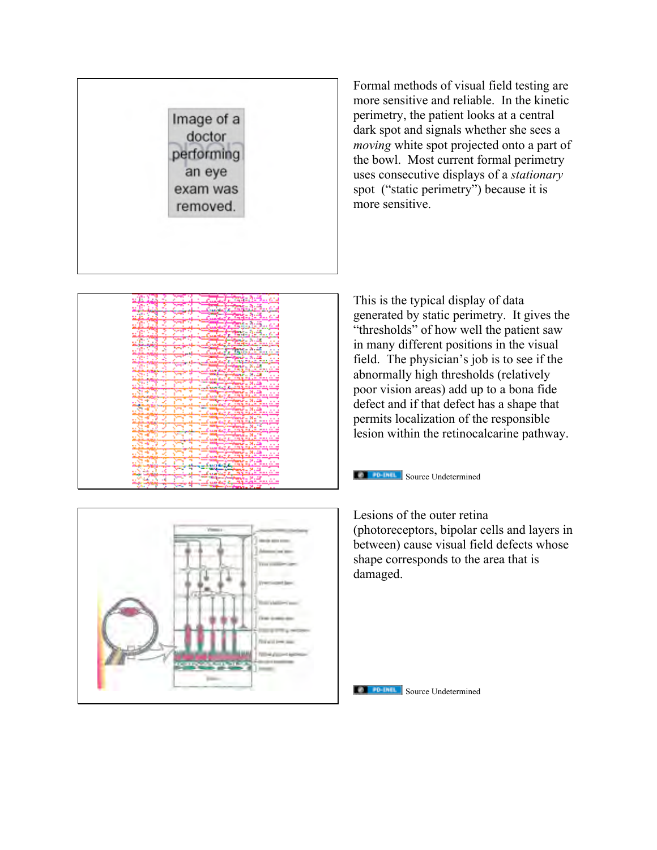

Formal methods of visual field testing are more sensitive and reliable. In the kinetic perimetry, the patient looks at a central dark spot and signals whether she sees a *moving* white spot projected onto a part of the bowl. Most current formal perimetry uses consecutive displays of a *stationary* spot ("static perimetry") because it is more sensitive.



This is the typical display of data generated by static perimetry. It gives the "thresholds" of how well the patient saw in many different positions in the visual field. The physician's job is to see if the abnormally high thresholds (relatively poor vision areas) add up to a bona fide defect and if that defect has a shape that permits localization of the responsible lesion within the retinocalcarine pathway.



Lesions of the outer retina (photoreceptors, bipolar cells and layers in between) cause visual field defects whose shape corresponds to the area that is damaged.



**The FIFTH Source Undetermined**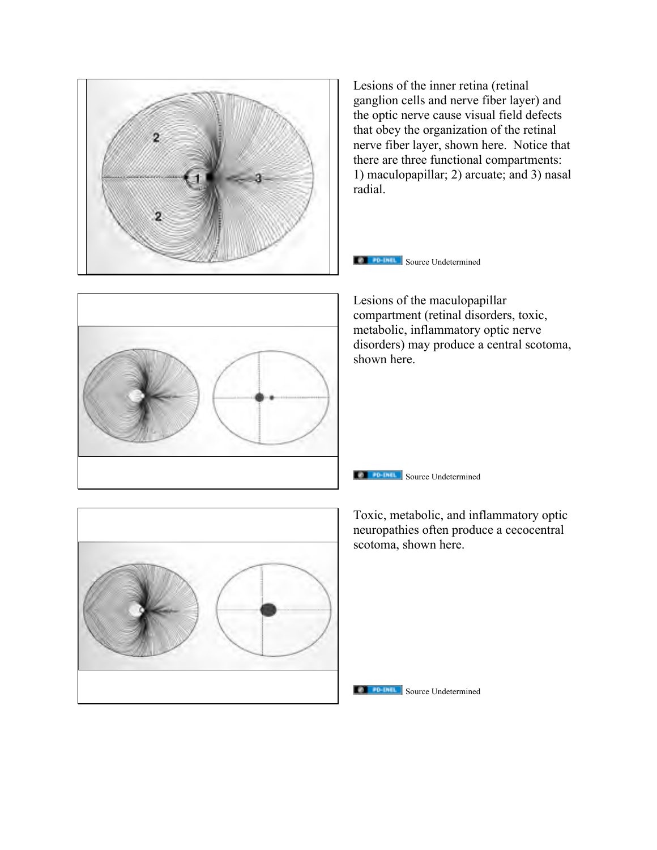

Lesions of the inner retina (retinal ganglion cells and nerve fiber layer) and the optic nerve cause visual field defects that obey the organization of the retinal nerve fiber layer, shown here. Notice that there are three functional compartments: 1) maculopapillar; 2) arcuate; and 3) nasal radial.



Lesions of the maculopapillar compartment (retinal disorders, toxic, metabolic, inflammatory optic nerve disorders) may produce a central scotoma, shown here.



**Source Undetermined** 



Toxic, metabolic, and inflammatory optic neuropathies often produce a cecocentral scotoma, shown here.

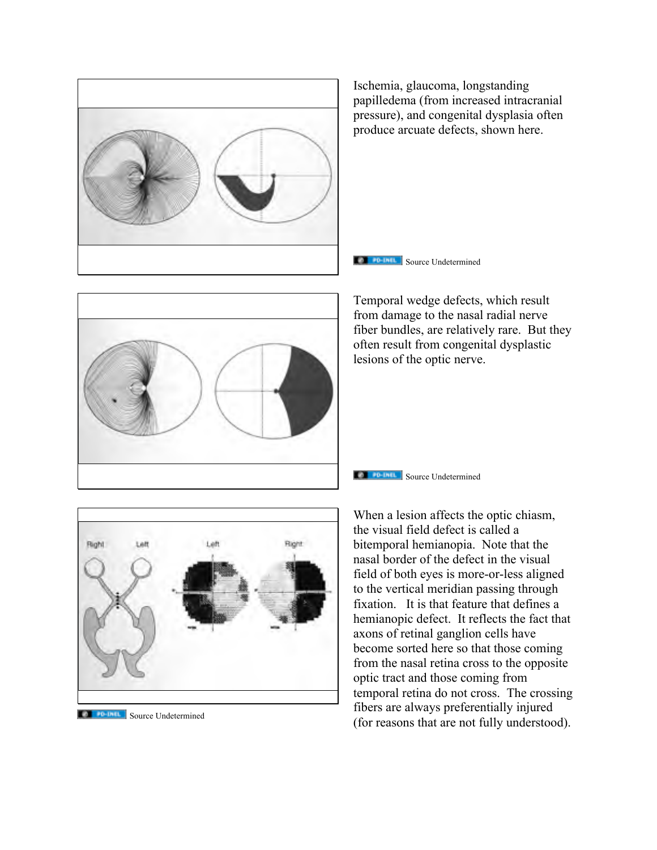

Ischemia, glaucoma, longstanding papilledema (from increased intracranial pressure), and congenital dysplasia often produce arcuate defects, shown here.





Temporal wedge defects, which result from damage to the nasal radial nerve fiber bundles, are relatively rare. But they often result from congenital dysplastic lesions of the optic nerve.



**Collection** Source Undetermined

**Source Undetermined** 

When a lesion affects the optic chiasm, the visual field defect is called a bitemporal hemianopia. Note that the nasal border of the defect in the visual field of both eyes is more-or-less aligned to the vertical meridian passing through fixation. It is that feature that defines a hemianopic defect. It reflects the fact that axons of retinal ganglion cells have become sorted here so that those coming from the nasal retina cross to the opposite optic tract and those coming from temporal retina do not cross. The crossing fibers are always preferentially injured (for reasons that are not fully understood).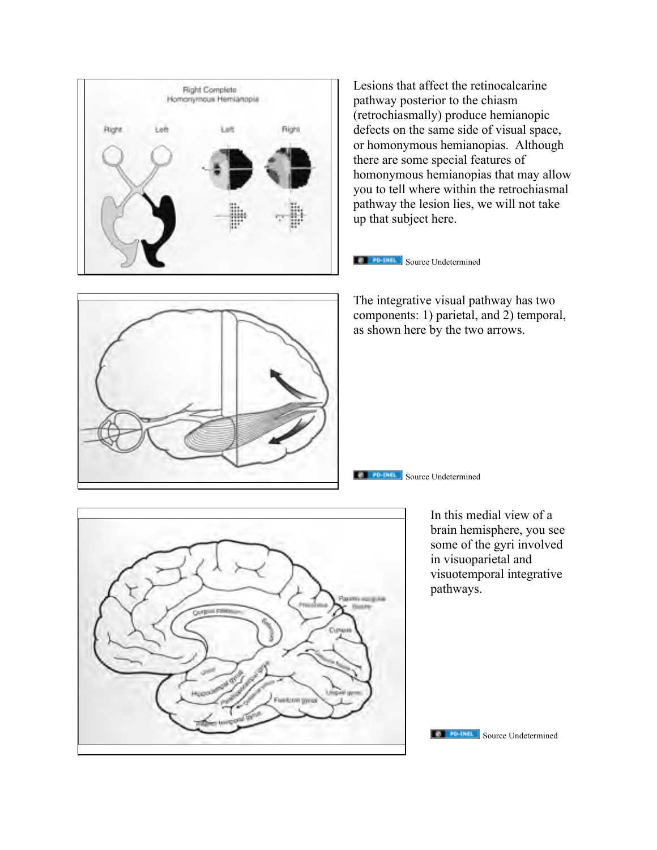

Lesions that affect the retinocalcarine pathway posterior to the chiasm (retrochiasmally) produce hemianopic defects on the same side of visual space, or homonymous hemianopias. Although there are some special features of homonymous hemianopias that may allow you to tell where within the retrochiasmal pathway the lesion lies, we will not take up that subject here.



**CO FO-UNIL** Source Undetermined

The integrative visual pathway has two components: 1) parietal, and 2) temporal, as shown here by the two arrows.

**Source Undetermined** 



In this medial view of a brain hemisphere, you see some of the gyri involved in visuoparietal and visuotemporal integrative pathways.

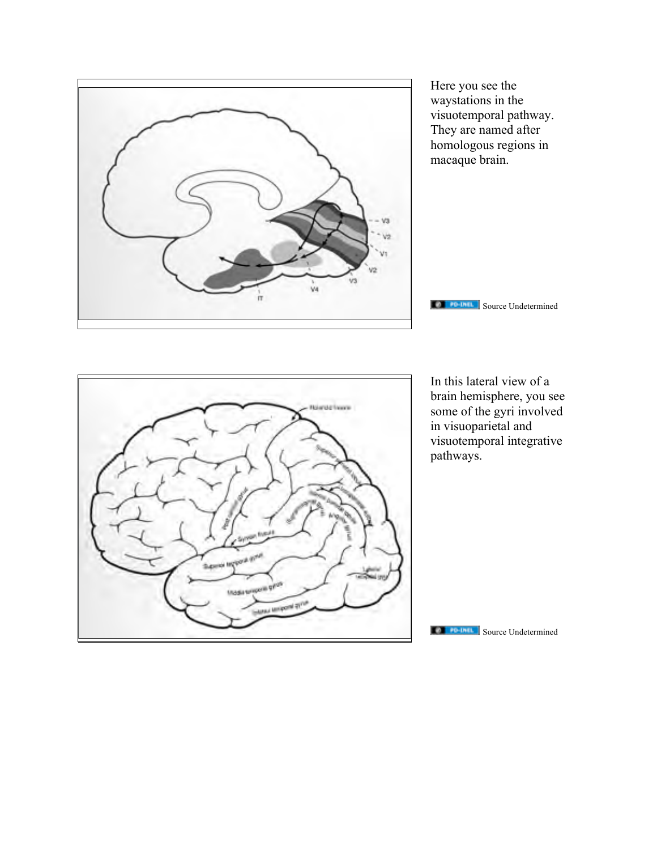

Here you see the waystations in the visuotemporal pathway. They are named after homologous regions in macaque brain.

**THE FIGHT Source Undetermined** 



In this lateral view of a brain hemisphere, you see some of the gyri involved in visuoparietal and visuotemporal integrative pathways.

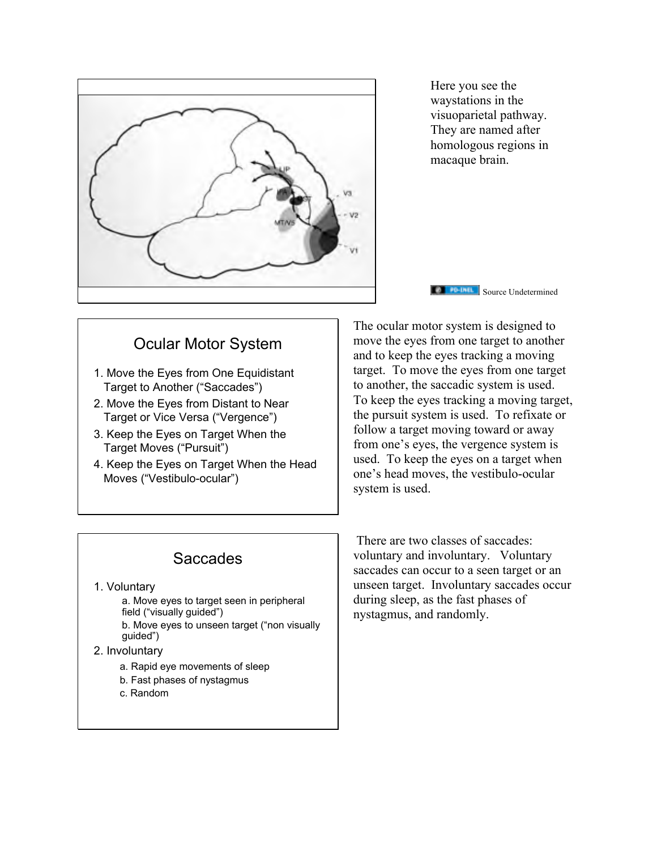

Here you see the waystations in the visuoparietal pathway. They are named after homologous regions in macaque brain.

**Source Undetermined** 

## Ocular Motor System

- 1. Move the Eyes from One Equidistant Target to Another ("Saccades")
- 2. Move the Eyes from Distant to Near Target or Vice Versa ("Vergence")
- 3. Keep the Eyes on Target When the Target Moves ("Pursuit")
- 4. Keep the Eyes on Target When the Head Moves ("Vestibulo-ocular")

The ocular motor system is designed to move the eyes from one target to another and to keep the eyes tracking a moving target. To move the eyes from one target to another, the saccadic system is used. To keep the eyes tracking a moving target, the pursuit system is used. To refixate or follow a target moving toward or away from one's eyes, the vergence system is used. To keep the eyes on a target when one's head moves, the vestibulo-ocular system is used.

# Saccades

#### 1. Voluntary

a. Move eyes to target seen in peripheral field ("visually guided") b. Move eyes to unseen target ("non visually guided")

#### 2. Involuntary

- a. Rapid eye movements of sleep
- b. Fast phases of nystagmus
- c. Random

There are two classes of saccades: voluntary and involuntary. Voluntary saccades can occur to a seen target or an unseen target. Involuntary saccades occur during sleep, as the fast phases of nystagmus, and randomly.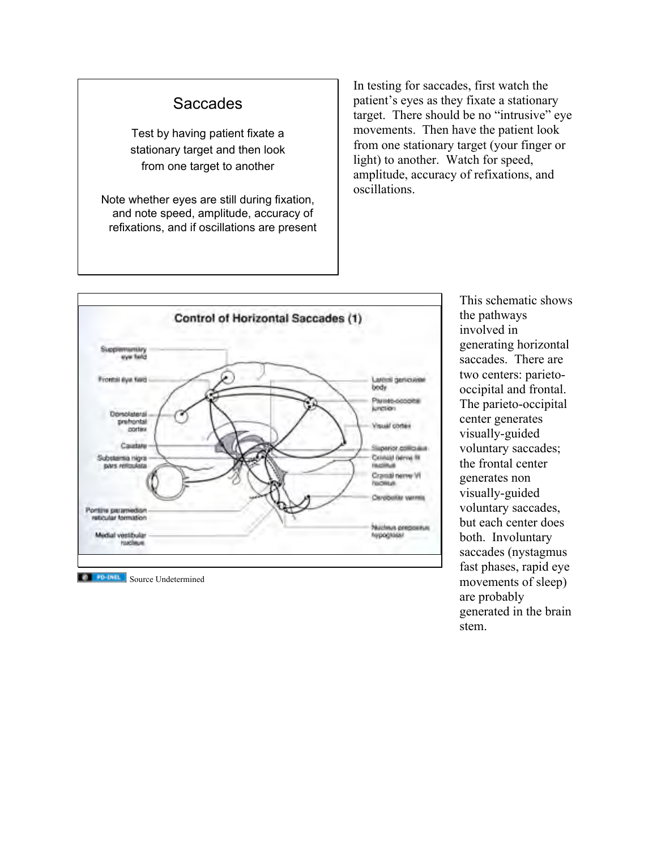#### **Saccades**

Test by having patient fixate a stationary target and then look from one target to another

Note whether eyes are still during fixation, and note speed, amplitude, accuracy of refixations, and if oscillations are present In testing for saccades, first watch the patient's eyes as they fixate a stationary target. There should be no "intrusive" eye movements. Then have the patient look from one stationary target (your finger or light) to another. Watch for speed, amplitude, accuracy of refixations, and oscillations.



**Source Undetermined** 

This schematic shows the pathways involved in generating horizontal saccades. There are two centers: parietooccipital and frontal. The parieto-occipital center generates visually-guided voluntary saccades; the frontal center generates non visually-guided voluntary saccades, but each center does both. Involuntary saccades (nystagmus fast phases, rapid eye movements of sleep) are probably generated in the brain stem.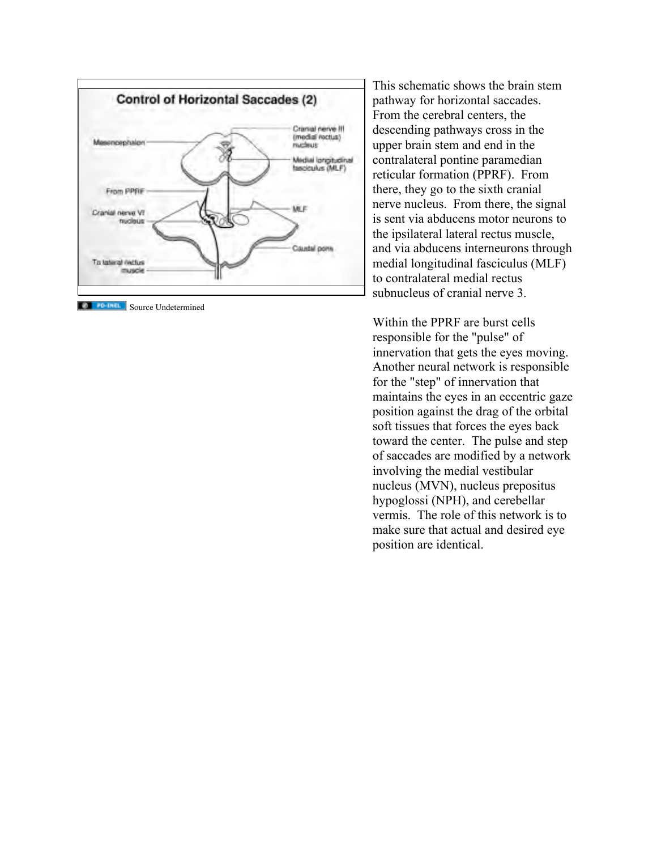

**TERNATION IN Source Undetermined** 

This schematic shows the brain stem pathway for horizontal saccades. From the cerebral centers, the descending pathways cross in the upper brain stem and end in the contralateral pontine paramedian reticular formation (PPRF). From there, they go to the sixth cranial nerve nucleus. From there, the signal is sent via abducens motor neurons to the ipsilateral lateral rectus muscle, and via abducens interneurons through medial longitudinal fasciculus (MLF ) to contralateral medial rectus subnucleus of cranial nerve 3.

Within the PPRF are burst cells responsible for the "pulse" of innervation that gets the eyes moving. Another neural network is responsible for the "step" of innervation that maintains the eyes in an eccentric gaze position against the drag of the orbital soft tissues that forces the eyes back toward the center. The pulse and step of saccades are modified by a network involving the medial vestibular nucleus (MVN), nucleus prepositus hypoglossi (NPH), and cerebellar vermis. The role of this network is to make sure that actual and desired eye position are identical.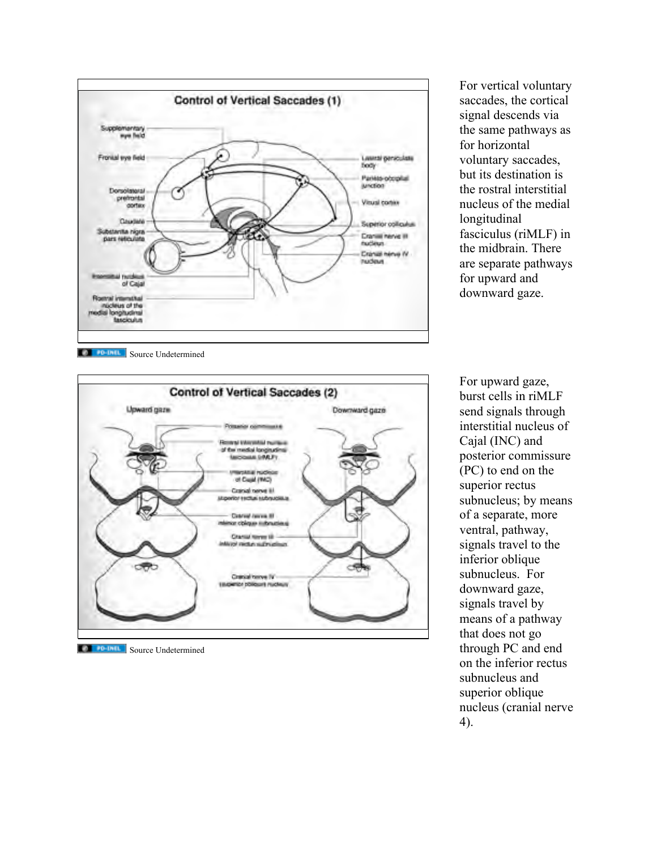

For vertical voluntary saccades, the cortical signal descends via the same pathways as for horizontal voluntary saccades, but its destination is the rostral interstitial nucleus of the medial longitudinal fasciculus (riMLF) in the midbrain. There are separate pathways for upward and downward gaze.

**Source Undetermined** 



**Source Undetermined** 

For upward gaze, burst cells in riMLF send signals through interstitial nucleus of Cajal (INC) and posterior commissure (PC) to end on the superior rectus subnucleus; by means of a separate, more ventral, pathway, signals travel to the inferior oblique subnucleus. For downward gaze, signals travel by means of a pathway that does not go through PC and end on the inferior rectus subnucleus and superior oblique nucleus (cranial nerve 4).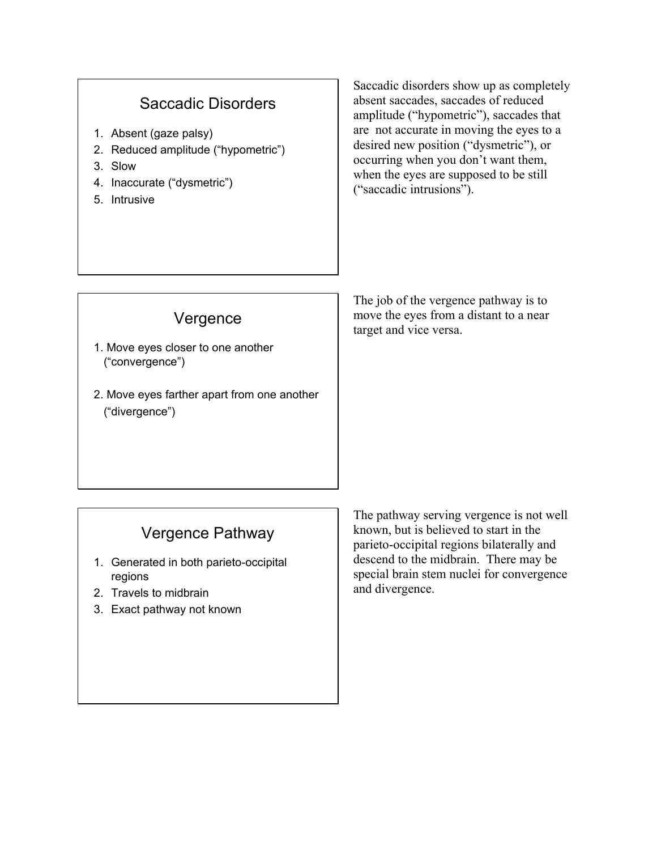### Saccadic Disorders

- 1. Absent (gaze palsy)
- 2. Reduced amplitude ("hypometric")
- 3. Slow
- 4. Inaccurate ("dysmetric")
- 5. Intrusive

Saccadic disorders show up as completely absent saccades, saccades of reduced amplitude ("hypometric"), saccades that are not accurate in moving the eyes to a desired new position ("dysmetric"), or occurring when you don't want them, when the eyes are supposed to be still ("saccadic intrusions").

### Vergence 1. Move eyes closer to one another ("convergence")

2. Move eyes farther apart from one another ("divergence")

The job of the vergence pathway is to move the eyes from a distant to a near target and vice versa.

# Vergence Pathway

- 1. Generated in both parieto-occipital regions
- 2. Travels to midbrain
- 3. Exact pathway not known

The pathway serving vergence is not well known, but is believed to start in the parieto-occipital regions bilaterally and descend to the midbrain. There may be special brain stem nuclei for convergence and divergence.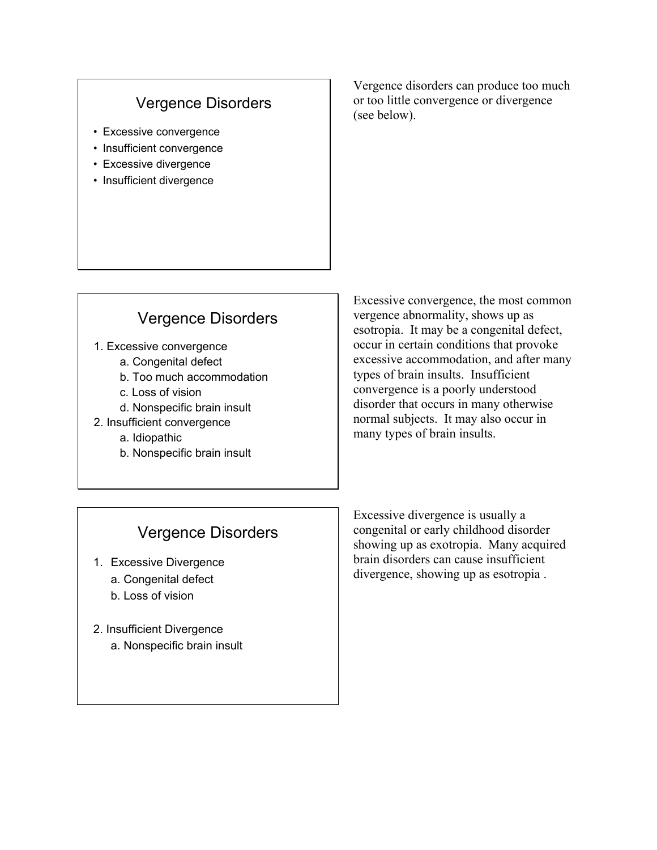### Vergence Disorders

- Excessive convergence
- Insufficient convergence
- Excessive divergence
- Insufficient divergence

Vergence disorders can produce too much or too little convergence or divergence (see below).

#### Vergence Disorders

- 1. Excessive convergence
	- a. Congenital defect
	- b. Too much accommodation
	- c. Loss of vision
	- d. Nonspecific brain insult
- 2. Insufficient convergence
	- a. Idiopathic
	- b. Nonspecific brain insult

Excessive convergence, the most common vergence abnormality, shows up as esotropia. It may be a congenital defect, occur in certain conditions that provoke excessive accommodation, and after many types of brain insults. Insufficient convergence is a poorly understood disorder that occurs in many otherwise normal subjects. It may also occur in many types of brain insults.

#### Vergence Disorders

- 1. Excessive Divergence
	- a. Congenital defect
	- b. Loss of vision
- 2. Insufficient Divergence a. Nonspecific brain insult

Excessive divergence is usually a congenital or early childhood disorder showing up as exotropia. Many acquired brain disorders can cause insufficient divergence, showing up as esotropia .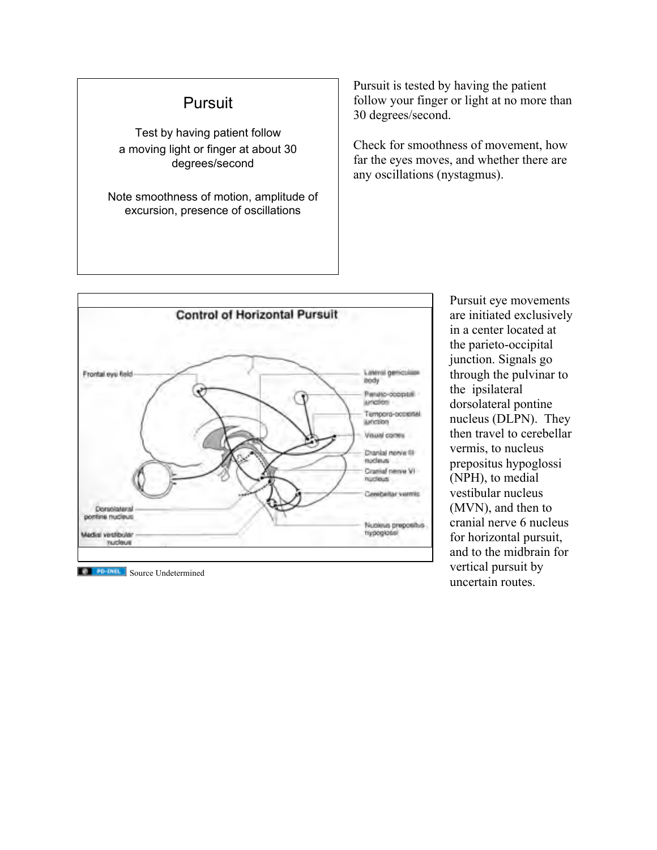### **Pursuit**

Test by having patient follow a moving light or finger at about 30 degrees/second

Note smoothness of motion, amplitude of excursion, presence of oscillations

Pursuit is tested by having the patient follow your finger or light at no more than 30 degrees/second.

Check for smoothness of movement, how far the eyes moves, and whether there are any oscillations (nystagmus).



Pursuit eye movements are initiated exclusively in a center located at the parieto-occipital junction. Signals go through the pulvinar to the ipsilateral dorsolateral pontine nucleus (DLPN). They then travel to cerebellar vermis, to nucleus prepositus hypoglossi (NPH), to medial vestibular nucleus (MVN), and then to cranial nerve 6 nucleus for horizontal pursuit, and to the midbrain for vertical pursuit by uncertain routes.

**Source Undetermined**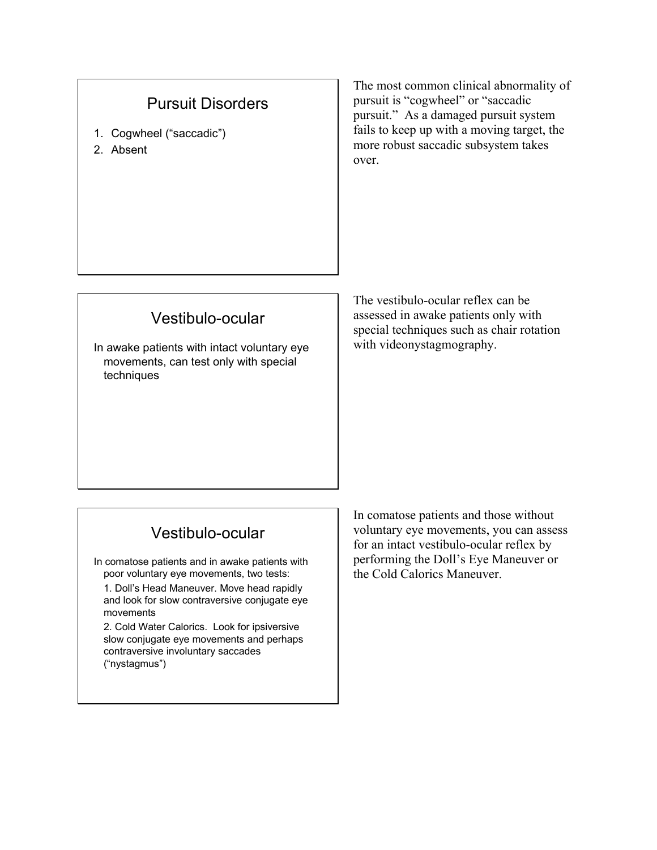### Pursuit Disorders

- 1. Cogwheel ("saccadic")
- 2. Absent

The most common clinical abnormality of pursuit is "cogwheel" or "saccadic pursuit." As a damaged pursuit system fails to keep up with a moving target, the more robust saccadic subsystem takes over.

## Vestibulo-ocular

In awake patients with intact voluntary eye movements, can test only with special techniques

The vestibulo-ocular reflex can be assessed in awake patients only with special techniques such as chair rotation with videonystagmography.

### Vestibulo-ocular

In comatose patients and in awake patients with poor voluntary eye movements, two tests:

1. Doll's Head Maneuver. Move head rapidly and look for slow contraversive conjugate eye movements

2. Cold Water Calorics. Look for ipsiversive slow conjugate eye movements and perhaps contraversive involuntary saccades ("nystagmus")

In comatose patients and those without voluntary eye movements, you can assess for an intact vestibulo-ocular reflex by performing the Doll's Eye Maneuver or the Cold Calorics Maneuver.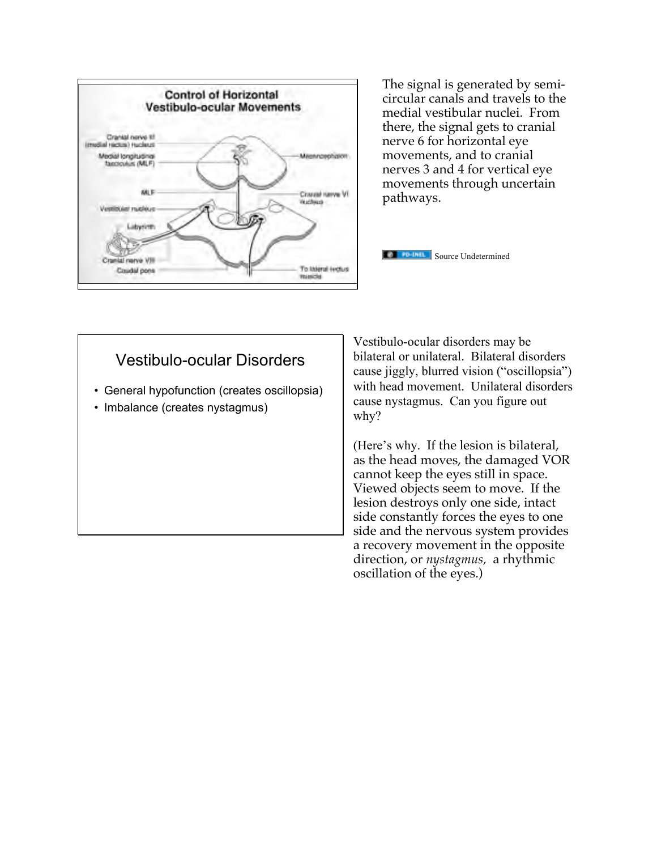

The signal is generated by semicircular canals and travels to the medial vestibular nuclei. From there, the signal gets to cranial nerve 6 for horizontal eye movements, and to cranial nerves 3 and 4 for vertical eye movements through uncertain pathways.



#### Vestibulo-ocular Disorders

- General hypofunction (creates oscillopsia)
- Imbalance (creates nystagmus)

Vestibulo-ocular disorders may be bilateral or unilateral. Bilateral disorders cause jiggly, blurred vision ("oscillopsia") with head movement. Unilateral disorders cause nystagmus. Can you figure out why?

(Here's why. If the lesion is bilateral, as the head moves, the damaged VOR cannot keep the eyes still in space. Viewed objects seem to move. If the lesion destroys only one side, intact side constantly forces the eyes to one side and the nervous system provides a recovery movement in the opposite direction, or *nystagmus,* a rhythmic oscillation of the eyes.)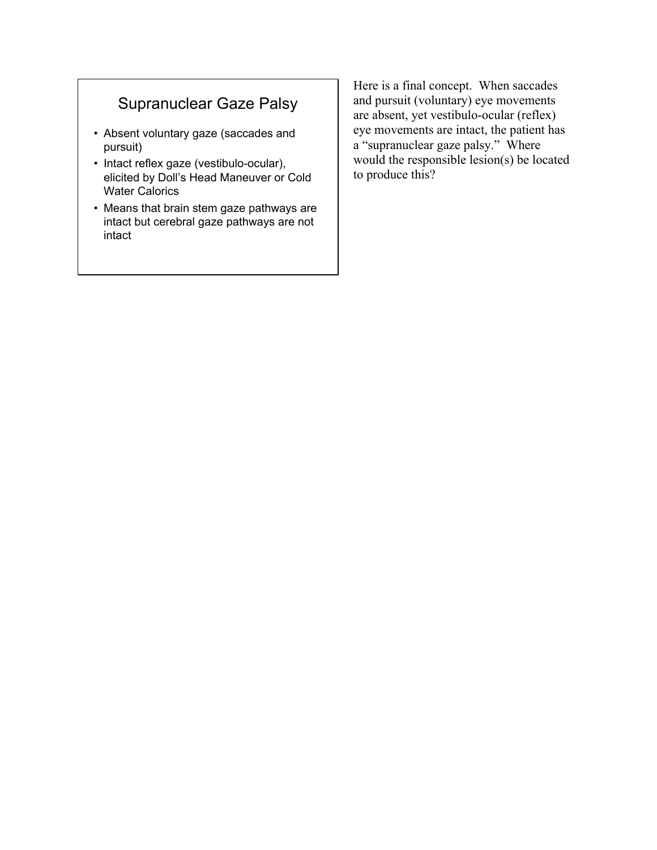# Supranuclear Gaze Palsy

- Absent voluntary gaze (saccades and pursuit)
- Intact reflex gaze (vestibulo-ocular), elicited by Doll's Head Maneuver or Cold Water Calorics
- Means that brain stem gaze pathways are intact but cerebral gaze pathways are not intact

Here is a final concept. When saccades and pursuit (voluntary) eye movements are absent, yet vestibulo-ocular (reflex) eye movements are intact, the patient has a "supranuclear gaze palsy." Where would the responsible lesion(s) be located to produce this?